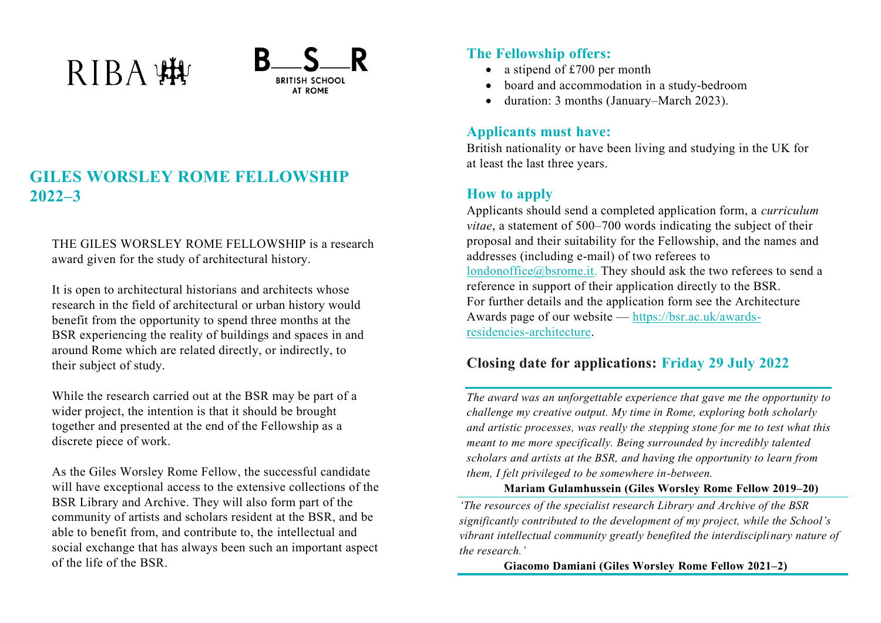# RIBA WW



# **GILES WORSLEY ROME FELLOWSHIP 2022–3**

THE GILES WORSLEY ROME FELLOWSHIP is a research award given for the study of architectural history.

It is open to architectural historians and architects whose research in the field of architectural or urban history would benefit from the opportunity to spend three months at the BSR experiencing the reality of buildings and spaces in and around Rome which are related directly, or indirectly, to their subject of study.

While the research carried out at the BSR may be part of a wider project, the intention is that it should be brought together and presented at the end of the Fellowship as a discrete piece of work.

As the Giles Worsley Rome Fellow, the successful candidate will have exceptional access to the extensive collections of the BSR Library and Archive. They will also form part of the community of artists and scholars resident at the BSR, and be able to benefit from, and contribute to, the intellectual and social exchange that has always been such an important aspect of the life of the BSR.

## **The Fellowship offers:**

- a stipend of £700 per month
- board and accommodation in a study-bedroom
- duration: 3 months (January–March 2023).

## **Applicants must have:**

British nationality or have been living and studying in the UK for at least the last three years.

# **How to apply**

Applicants should send a completed application form, a *curriculum vitae*, a statement of 500–700 words indicating the subject of their proposal and their suitability for the Fellowship, and the names and addresses (including e-mail) of two referees to [londonoffice@bsrome.it.](mailto:londonoffice@bsrome.it) They should ask the two referees to send a reference in support of their application directly to the BSR. For further details and the application form see the Architecture Awards page of our website — [https://bsr.ac.uk/awards](https://bsr.ac.uk/awards-residencies-architecture)[residencies-architecture.](https://bsr.ac.uk/awards-residencies-architecture)

# **Closing date for applications: Friday 29 July 2022**

*The award was an unforgettable experience that gave me the opportunity to challenge my creative output. My time in Rome, exploring both scholarly and artistic processes, was really the stepping stone for me to test what this meant to me more specifically. Being surrounded by incredibly talented scholars and artists at the BSR, and having the opportunity to learn from them, I felt privileged to be somewhere in-between.*

#### **Mariam Gulamhussein (Giles Worsley Rome Fellow 2019–20)**

*'The resources of the specialist research Library and Archive of the BSR significantly contributed to the development of my project, while the School's vibrant intellectual community greatly benefited the interdisciplinary nature of the research.'*

**Giacomo Damiani (Giles Worsley Rome Fellow 2021–2)**